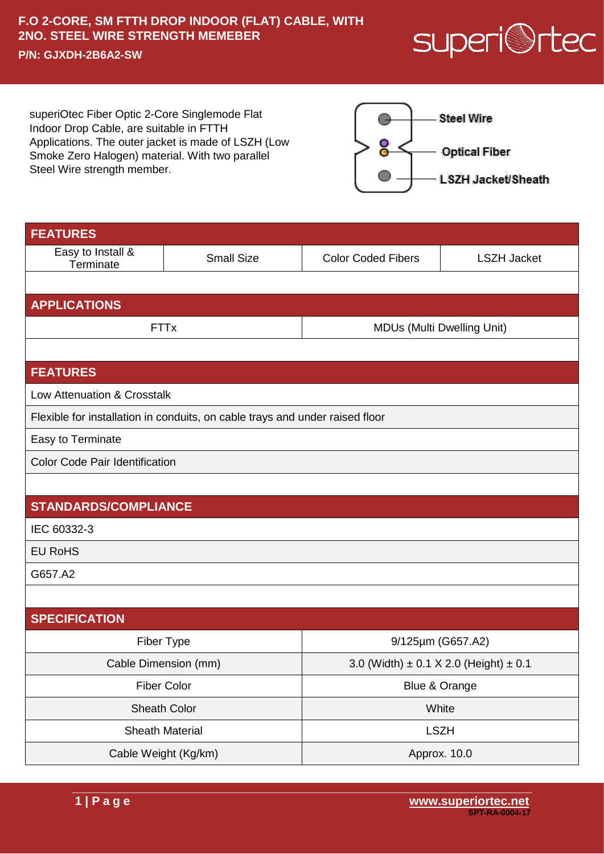## **F.O 2-CORE, SM FTTH DROP INDOOR (FLAT) CABLE, WITH 2NO. STEEL WIRE STRENGTH MEMEBER P/N: GJXDH-2B6A2-SW**



superiOtec Fiber Optic 2-Core Singlemode Flat Indoor Drop Cable, are suitable in FTTH Applications. The outer jacket is made of LSZH (Low Smoke Zero Halogen) material. With two parallel Steel Wire strength member.



| <b>FEATURES</b>                                                              |                   |                                                |                    |  |
|------------------------------------------------------------------------------|-------------------|------------------------------------------------|--------------------|--|
| Easy to Install &<br>Terminate                                               | <b>Small Size</b> | <b>Color Coded Fibers</b>                      | <b>LSZH Jacket</b> |  |
|                                                                              |                   |                                                |                    |  |
| <b>APPLICATIONS</b>                                                          |                   |                                                |                    |  |
| <b>FTTx</b>                                                                  |                   | <b>MDUs (Multi Dwelling Unit)</b>              |                    |  |
|                                                                              |                   |                                                |                    |  |
| <b>FEATURES</b>                                                              |                   |                                                |                    |  |
| Low Attenuation & Crosstalk                                                  |                   |                                                |                    |  |
| Flexible for installation in conduits, on cable trays and under raised floor |                   |                                                |                    |  |
| Easy to Terminate                                                            |                   |                                                |                    |  |
| <b>Color Code Pair Identification</b>                                        |                   |                                                |                    |  |
|                                                                              |                   |                                                |                    |  |
| <b>STANDARDS/COMPLIANCE</b>                                                  |                   |                                                |                    |  |
| IEC 60332-3                                                                  |                   |                                                |                    |  |
| <b>EU RoHS</b>                                                               |                   |                                                |                    |  |
| G657.A2                                                                      |                   |                                                |                    |  |
|                                                                              |                   |                                                |                    |  |
| <b>SPECIFICATION</b>                                                         |                   |                                                |                    |  |
| Fiber Type                                                                   |                   | 9/125µm (G657.A2)                              |                    |  |
| Cable Dimension (mm)                                                         |                   | 3.0 (Width) $\pm$ 0.1 X 2.0 (Height) $\pm$ 0.1 |                    |  |
| <b>Fiber Color</b>                                                           |                   | Blue & Orange                                  |                    |  |
| Sheath Color                                                                 |                   | White                                          |                    |  |
| <b>Sheath Material</b>                                                       |                   | <b>LSZH</b>                                    |                    |  |
| Cable Weight (Kg/km)                                                         |                   | Approx. 10.0                                   |                    |  |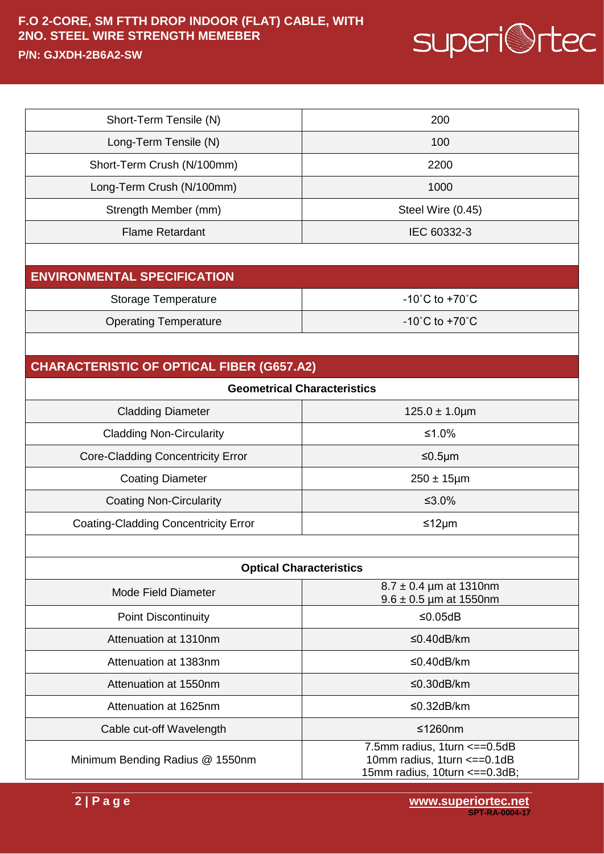## **F.O 2-CORE, SM FTTH DROP INDOOR (FLAT) CABLE, WITH 2NO. STEEL WIRE STRENGTH MEMEBER**



**P/N: GJXDH-2B6A2-SW**

| Short-Term Tensile (N)                           | 200                                                                                            |  |  |  |
|--------------------------------------------------|------------------------------------------------------------------------------------------------|--|--|--|
| Long-Term Tensile (N)                            | 100                                                                                            |  |  |  |
| Short-Term Crush (N/100mm)                       | 2200                                                                                           |  |  |  |
| Long-Term Crush (N/100mm)                        | 1000                                                                                           |  |  |  |
| Strength Member (mm)                             | Steel Wire (0.45)                                                                              |  |  |  |
| <b>Flame Retardant</b>                           | IEC 60332-3                                                                                    |  |  |  |
|                                                  |                                                                                                |  |  |  |
| <b>ENVIRONMENTAL SPECIFICATION</b>               |                                                                                                |  |  |  |
| <b>Storage Temperature</b>                       | -10 $^{\circ}$ C to +70 $^{\circ}$ C                                                           |  |  |  |
| <b>Operating Temperature</b>                     | $-10^{\circ}$ C to $+70^{\circ}$ C                                                             |  |  |  |
|                                                  |                                                                                                |  |  |  |
| <b>CHARACTERISTIC OF OPTICAL FIBER (G657.A2)</b> |                                                                                                |  |  |  |
| <b>Geometrical Characteristics</b>               |                                                                                                |  |  |  |
| <b>Cladding Diameter</b>                         | $125.0 \pm 1.0 \mu m$                                                                          |  |  |  |
| <b>Cladding Non-Circularity</b>                  | ≤1.0%                                                                                          |  |  |  |
| <b>Core-Cladding Concentricity Error</b>         | ≤0.5µm                                                                                         |  |  |  |
| <b>Coating Diameter</b>                          | $250 \pm 15$ µm                                                                                |  |  |  |
| <b>Coating Non-Circularity</b>                   | ≤3.0%                                                                                          |  |  |  |
| <b>Coating-Cladding Concentricity Error</b>      | ≤12μm                                                                                          |  |  |  |
|                                                  |                                                                                                |  |  |  |
| <b>Optical Characteristics</b>                   |                                                                                                |  |  |  |
| Mode Field Diameter                              | $8.7 \pm 0.4$ µm at 1310nm<br>$9.6 \pm 0.5$ µm at 1550nm                                       |  |  |  |
| <b>Point Discontinuity</b>                       | ≤0.05dB                                                                                        |  |  |  |
| Attenuation at 1310nm                            | $≤0.40dB/km$                                                                                   |  |  |  |
| Attenuation at 1383nm                            | $≤0.40dB/km$                                                                                   |  |  |  |
| Attenuation at 1550nm                            | ≤0.30dB/km                                                                                     |  |  |  |
| Attenuation at 1625nm                            | $≤0.32dB/km$                                                                                   |  |  |  |
| Cable cut-off Wavelength                         | $≤1260nm$                                                                                      |  |  |  |
| Minimum Bending Radius @ 1550nm                  | 7.5mm radius, 1turn <== 0.5dB<br>10mm radius, 1turn <== 0.1dB<br>15mm radius, 10turn <==0.3dB; |  |  |  |